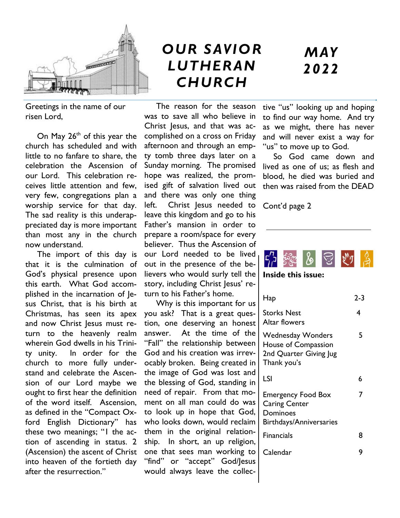

Greetings in the name of our risen Lord,

On May  $26<sup>th</sup>$  of this year the church has scheduled and with little to no fanfare to share, the celebration the Ascension of our Lord. This celebration receives little attention and few, very few, congregations plan a worship service for that day. The sad reality is this underappreciated day is more important than most any in the church now understand.

 The import of this day is that it is the culmination of God's physical presence upon this earth. What God accomplished in the incarnation of Jesus Christ, that is his birth at Christmas, has seen its apex and now Christ Jesus must return to the heavenly realm wherein God dwells in his Trinity unity. In order for the church to more fully understand and celebrate the Ascension of our Lord maybe we ought to first hear the definition of the word itself. Ascension, as defined in the "Compact Oxford English Dictionary" has these two meanings; "1 the action of ascending in status. 2 (Ascension) the ascent of Christ into heaven of the fortieth day after the resurrection."

# *OUR SAVIOR LUTHERAN CHURCH*

 The reason for the season was to save all who believe in Christ Jesus, and that was accomplished on a cross on Friday afternoon and through an empty tomb three days later on a Sunday morning. The promised hope was realized, the promised gift of salvation lived out and there was only one thing left. Christ Jesus needed to leave this kingdom and go to his Father's mansion in order to prepare a room/space for every believer. Thus the Ascension of our Lord needed to be lived out in the presence of the believers who would surly tell the story, including Christ Jesus' return to his Father's home.

 Why is this important for us you ask? That is a great question, one deserving an honest answer. At the time of the "Fall" the relationship between God and his creation was irrevocably broken. Being created in the image of God was lost and the blessing of God, standing in need of repair. From that moment on all man could do was to look up in hope that God, who looks down, would reclaim them in the original relationship. In short, an up religion, one that sees man working to "find" or "accept" God/Jesus would always leave the collec-

# *MAY 2022*

tive "us" looking up and hoping to find our way home. And try as we might, there has never and will never exist a way for "us" to move up to God.

 So God came down and lived as one of us; as flesh and blood, he died was buried and then was raised from the DEAD

Cont'd page 2



**Inside this issue:**

| Hap                                                                                      | $2 - 3$ |
|------------------------------------------------------------------------------------------|---------|
| <b>Storks Nest</b><br>Altar flowers                                                      | 4       |
| <b>Wednesday Wonders</b><br>House of Compassion<br>2nd Quarter Giving Jug<br>Thank you's | 5       |
| LSI                                                                                      | 6       |
| <b>Emergency Food Box</b><br><b>Caring Center</b><br>Dominoes<br>Birthdays/Anniversaries | 7       |
| Financials                                                                               | 8       |
| Calendar                                                                                 | 9       |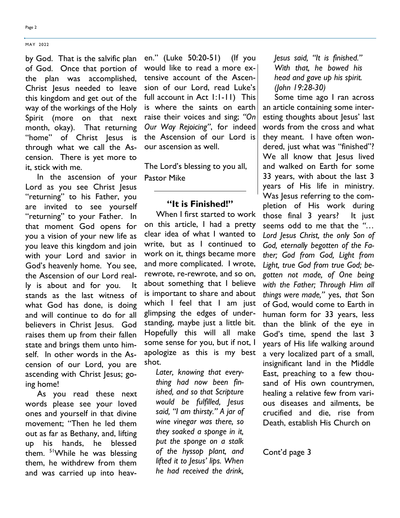Page 2

by God. That is the salvific plan of God. Once that portion of the plan was accomplished, Christ Jesus needed to leave this kingdom and get out of the way of the workings of the Holy Spirit (more on that next month, okay). That returning "home" of Christ Jesus is through what we call the Ascension. There is yet more to it, stick with me.

 In the ascension of your Lord as you see Christ Jesus "returning" to his Father, you are invited to see yourself "returning" to your Father. In that moment God opens for you a vision of your new life as you leave this kingdom and join with your Lord and savior in God's heavenly home. You see, the Ascension of our Lord really is about and for you. It stands as the last witness of what God has done, is doing and will continue to do for all believers in Christ Jesus. God raises them up from their fallen state and brings them unto himself. In other words in the Ascension of our Lord, you are ascending with Christ Jesus; going home!

 As you read these next words please see your loved ones and yourself in that divine movement; "Then he led them out as far as Bethany, and, lifting up his hands, he blessed them. <sup>51</sup>While he was blessing them, he withdrew from them and was carried up into heaven." (Luke 50:20-51) (If you would like to read a more extensive account of the Ascension of our Lord, read Luke's full account in Act 1:1-11) This is where the saints on earth raise their voices and sing; *"On Our Way Rejoicing"*, for indeed the Ascension of our Lord is our ascension as well.

The Lord's blessing to you all, Pastor Mike

## **"It is Finished!"**

 When I first started to work on this article, I had a pretty clear idea of what I wanted to write, but as I continued to work on it, things became more and more complicated. I wrote, rewrote, re-rewrote, and so on, about something that I believe is important to share and about which I feel that I am just glimpsing the edges of understanding, maybe just a little bit. Hopefully this will all make some sense for you, but if not, I apologize as this is my best shot.

*Later, knowing that everything had now been finished, and so that Scripture would be fulfilled, Jesus said, "I am thirsty." A jar of wine vinegar was there, so they soaked a sponge in it, put the sponge on a stalk of the hyssop plant, and lifted it to Jesus' lips. When he had received the drink,* 

*Jesus said, "It is finished." With that, he bowed his head and gave up his spirit. (John 19:28-30)*

 Some time ago I ran across an article containing some interesting thoughts about Jesus' last words from the cross and what they meant. I have often wondered, just what was "finished"? We all know that lesus lived and walked on Earth for some 33 years, with about the last 3 years of His life in ministry. Was Jesus referring to the completion of His work during those final 3 years? It just seems odd to me that the *"… Lord Jesus Christ, the only Son of God, eternally begotten of the Father; God from God, Light from Light, true God from true God; begotten not made, of One being with the Father; Through Him all things were made,"* yes, *that* Son of God, would come to Earth in human form for 33 years, less than the blink of the eye in God's time, spend the last 3 years of His life walking around a very localized part of a small, insignificant land in the Middle East, preaching to a few thousand of His own countrymen, healing a relative few from various diseases and ailments, be crucified and die, rise from Death, establish His Church on

Cont'd page 3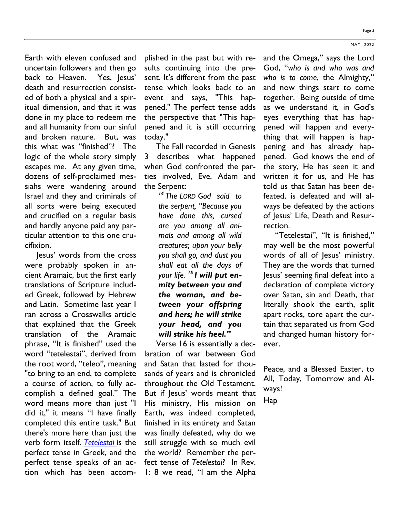Earth with eleven confused and uncertain followers and then go back to Heaven. Yes, lesus' death and resurrection consisted of both a physical and a spiritual dimension, and that it was done in my place to redeem me and all humanity from our sinful and broken nature. But, was this what was "finished"? The logic of the whole story simply escapes me. At any given time, dozens of self-proclaimed messiahs were wandering around Israel and they and criminals of all sorts were being executed and crucified on a regular basis and hardly anyone paid any particular attention to this one crucifixion.

 Jesus' words from the cross were probably spoken in ancient Aramaic, but the first early translations of Scripture included Greek, followed by Hebrew and Latin. Sometime last year I ran across a Crosswalks article that explained that the Greek translation of the Aramaic phrase, "It is finished" used the word "tetelestai", derived from the root word, "teleo", meaning "to bring to an end, to complete a course of action, to fully accomplish a defined goal." The word means more than just "I did it," it means "I have finally completed this entire task." But there's more here than just the verb form itself. *Tetelestai* is the perfect tense in Greek, and the perfect tense speaks of an action which has been accom-

plished in the past but with results continuing into the present. It's different from the past tense which looks back to an event and says, "This happened." The perfect tense adds the perspective that "This happened and it is still occurring today."

 The Fall recorded in Genesis 3 describes what happened when God confronted the parties involved, Eve, Adam and the Serpent:

> *<sup>14</sup> The LORD God said to the serpent, "Because you have done this, cursed are you among all animals and among all wild creatures; upon your belly you shall go, and dust you shall eat all the days of your life. <sup>15</sup> I will put enmity between you and the woman, and between your offspring and hers; he will strike your head, and you will strike his heel."*

 Verse 16 is essentially a declaration of war between God and Satan that lasted for thousands of years and is chronicled throughout the Old Testament. But if Jesus' words meant that His ministry, His mission on Earth, was indeed completed, finished in its entirety and Satan was finally defeated, why do we still struggle with so much evil the world? Remember the perfect tense of *Tetelestai*? In Rev. 1: 8 we read, "I am the Alpha

and the Omega," says the Lord God, "*who is and who was and who is to come*, the Almighty," and now things start to come together. Being outside of time as we understand it, in God's eyes everything that has happened will happen and everything that will happen is happening and has already happened. God knows the end of the story, He has seen it and written it for us, and He has told us that Satan has been defeated, is defeated and will always be defeated by the actions of Jesus' Life, Death and Resurrection.

 "Tetelestai", "It is finished," may well be the most powerful words of all of Jesus' ministry. They are the words that turned Jesus' seeming final defeat into a declaration of complete victory over Satan, sin and Death, that literally shook the earth, split apart rocks, tore apart the curtain that separated us from God and changed human history forever.

Peace, and a Blessed Easter, to All, Today, Tomorrow and Always!

Hap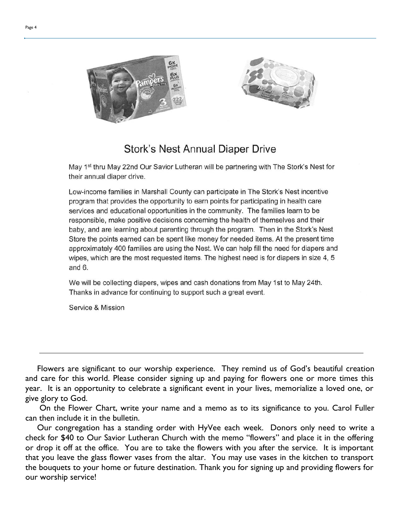



## **Stork's Nest Annual Diaper Drive**

May 1<sup>st</sup> thru May 22nd Our Savior Lutheran will be partnering with The Stork's Nest for their annual diaper drive.

Low-income families in Marshall County can participate in The Stork's Nest incentive program that provides the opportunity to earn points for participating in health care services and educational opportunities in the community. The families learn to be responsible, make positive decisions concerning the health of themselves and their baby, and are learning about parenting through the program. Then in the Stork's Nest Store the points earned can be spent like money for needed items. At the present time approximately 400 families are using the Nest. We can help fill the need for diapers and wipes, which are the most requested items. The highest need is for diapers in size 4, 5 and  $6.$ 

We will be collecting diapers, wipes and cash donations from May 1st to May 24th. Thanks in advance for continuing to support such a great event.

Service & Mission

 Flowers are significant to our worship experience. They remind us of God's beautiful creation and care for this world. Please consider signing up and paying for flowers one or more times this year. It is an opportunity to celebrate a significant event in your lives, memorialize a loved one, or give glory to God.

 On the Flower Chart, write your name and a memo as to its significance to you. Carol Fuller can then include it in the bulletin.

 Our congregation has a standing order with HyVee each week. Donors only need to write a check for \$40 to Our Savior Lutheran Church with the memo "flowers" and place it in the offering or drop it off at the office. You are to take the flowers with you after the service. It is important that you leave the glass flower vases from the altar. You may use vases in the kitchen to transport the bouquets to your home or future destination. Thank you for signing up and providing flowers for our worship service!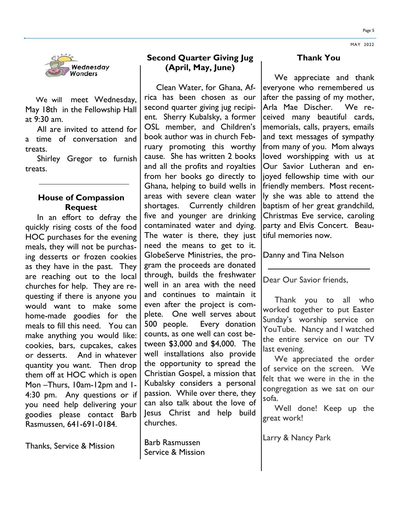

 We will meet Wednesday, May 18th in the Fellowship Hall at 9:30 am.

 All are invited to attend for a time of conversation and treats.

 Shirley Gregor to furnish treats.

### **House of Compassion Request**

 In an effort to defray the quickly rising costs of the food HOC purchases for the evening meals, they will not be purchasing desserts or frozen cookies as they have in the past. They are reaching out to the local churches for help. They are requesting if there is anyone you would want to make some home-made goodies for the meals to fill this need. You can make anything you would like: cookies, bars, cupcakes, cakes or desserts. And in whatever quantity you want. Then drop them off at HOC which is open Mon –Thurs, 10am-12pm and 1- 4:30 pm. Any questions or if you need help delivering your goodies please contact Barb Rasmussen, 641-691-0184.

Thanks, Service & Mission

## **Second Quarter Giving Jug (April, May, June)**

 Clean Water, for Ghana, Africa has been chosen as our second quarter giving jug recipient. Sherry Kubalsky, a former OSL member, and Children's book author was in church February promoting this worthy cause. She has written 2 books and all the profits and royalties from her books go directly to Ghana, helping to build wells in areas with severe clean water shortages. Currently children five and younger are drinking contaminated water and dying. The water is there, they just need the means to get to it. GlobeServe Ministries, the program the proceeds are donated through, builds the freshwater well in an area with the need and continues to maintain it even after the project is complete. One well serves about 500 people. Every donation counts, as one well can cost between \$3,000 and \$4,000. The well installations also provide the opportunity to spread the Christian Gospel, a mission that Kubalsky considers a personal passion. While over there, they can also talk about the love of Jesus Christ and help build churches.

Barb Rasmussen Service & Mission

### **Thank You**

 We appreciate and thank everyone who remembered us after the passing of my mother, Arla Mae Discher. We received many beautiful cards, memorials, calls, prayers, emails and text messages of sympathy from many of you. Mom always loved worshipping with us at Our Savior Lutheran and enjoyed fellowship time with our friendly members. Most recently she was able to attend the baptism of her great grandchild, Christmas Eve service, caroling party and Elvis Concert. Beautiful memories now.

Danny and Tina Nelson

Dear Our Savior friends,

 Thank you to all who worked together to put Easter Sunday's worship service on YouTube. Nancy and I watched the entire service on our TV last evening.

 We appreciated the order of service on the screen. We felt that we were in the in the congregation as we sat on our sofa.

 Well done! Keep up the great work!

Larry & Nancy Park

MAY 2022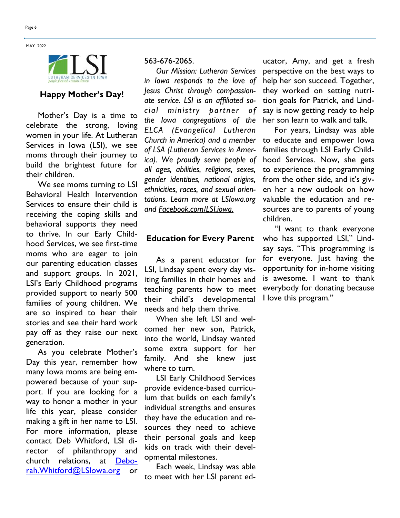**MAY 2022** 



# **Happy Mother's Day!**

 Mother's Day is a time to celebrate the strong, loving women in your life. At Lutheran Services in Iowa (LSI), we see moms through their journey to build the brightest future for their children.

 We see moms turning to LSI Behavioral Health Intervention Services to ensure their child is receiving the coping skills and behavioral supports they need to thrive. In our Early Childhood Services, we see first-time moms who are eager to join our parenting education classes and support groups. In 2021, LSI's Early Childhood programs provided support to nearly 500 families of young children. We are so inspired to hear their stories and see their hard work pay off as they raise our next generation.

 As you celebrate Mother's Day this year, remember how many Iowa moms are being empowered because of your support. If you are looking for a way to honor a mother in your life this year, please consider making a gift in her name to LSI. For more information, please contact Deb Whitford, LSI director of philanthropy and church relations, at [Debo](mailto:Deborah.Whitford@LSIowa.org)[rah.Whitford@LSIowa.org](mailto:Deborah.Whitford@LSIowa.org) or

#### 563-676-2065.

 *Our Mission: Lutheran Services in Iowa responds to the love of Jesus Christ through compassionate service. LSI is an affiliated social ministry partner of the Iowa congregations of the ELCA (Evangelical Lutheran Church in America) and a member of LSA (Lutheran Services in America). We proudly serve people of all ages, abilities, religions, sexes, gender identities, national origins, ethnicities, races, and sexual orientations. Learn more at LSIowa.org and [Facebook.com/LSI.iowa.](http://www.facebook.com/LSI.iowa)*

#### **Education for Every Parent**

 As a parent educator for LSI, Lindsay spent every day visiting families in their homes and teaching parents how to meet their child's developmental needs and help them thrive.

 When she left LSI and welcomed her new son, Patrick, into the world, Lindsay wanted some extra support for her family. And she knew just where to turn.

 LSI Early Childhood Services provide evidence-based curriculum that builds on each family's individual strengths and ensures they have the education and resources they need to achieve their personal goals and keep kids on track with their developmental milestones.

 Each week, Lindsay was able to meet with her LSI parent ed-

ucator, Amy, and get a fresh perspective on the best ways to help her son succeed. Together, they worked on setting nutrition goals for Patrick, and Lindsay is now getting ready to help her son learn to walk and talk.

 For years, Lindsay was able to educate and empower Iowa families through LSI Early Childhood Services. Now, she gets to experience the programming from the other side, and it's given her a new outlook on how valuable the education and resources are to parents of young children.

 "I want to thank everyone who has supported LSI," Lindsay says. "This programming is for everyone. Just having the opportunity for in-home visiting is awesome. I want to thank everybody for donating because I love this program."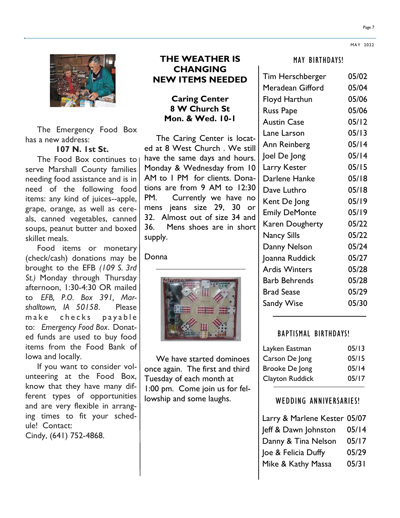

 The Emergency Food Box has a new address:

**107 N. 1st St.**

 The Food Box continues to serve Marshall County families needing food assistance and is in need of the following food items: any kind of juices--apple, grape, orange, as well as cereals, canned vegetables, canned soups, peanut butter and boxed skillet meals.

 Food items or monetary (check/cash) donations may be brought to the EFB *(109 S. 3rd St.)* Monday through Thursday afternoon, 1:30-4:30 OR mailed to *EFB, P.O. Box 391, Marshalltown, IA 50158*. Please make checks payable to: *Emergency Food Box*. Donated funds are used to buy food items from the Food Bank of Iowa and locally.

 If you want to consider volunteering at the Food Box, know that they have many different types of opportunities and are very flexible in arranging times to fit your schedule! Contact: Cindy, (641) 752-4868.

## **THE WEATHER IS CHANGING NEW ITEMS NEEDED**

## **Caring Center 8 W Church St Mon. & Wed. 10-1**

 The Caring Center is located at 8 West Church . We still have the same days and hours. Monday & Wednesday from 10 AM to 1 PM for clients. Donations are from 9 AM to 12:30 PM. Currently we have no mens jeans size 29, 30 or 32. Almost out of size 34 and 36. Mens shoes are in short supply.

**Donna** 



 We have started dominoes once again. The first and third Tuesday of each month at 1:00 pm. Come join us for fellowship and some laughs.

#### MAY BIRTHDAYS!

| Tim Herschberger     | 05/02 |
|----------------------|-------|
| Meradean Gifford     | 05/04 |
| <b>Floyd Harthun</b> | 05/06 |
| <b>Russ Pape</b>     | 05/06 |
| <b>Austin Case</b>   | 05/12 |
| Lane Larson          | 05/13 |
| Ann Reinberg         | 05/14 |
| Joel De Jong         | 05/14 |
| Larry Kester         | 05/15 |
| Darlene Hanke        | 05/18 |
| Dave Luthro          | 05/18 |
| Kent De Jong         | 05/19 |
| <b>Emily DeMonte</b> | 05/19 |
| Karen Dougherty      | 05/22 |
| <b>Nancy Sills</b>   | 05/22 |
| Danny Nelson         | 05/24 |
| Joanna Ruddick       | 05/27 |
| <b>Ardis Winters</b> | 05/28 |
| <b>Barb Behrends</b> | 05/28 |
| <b>Brad Sease</b>    | 05/29 |
| <b>Sandy Wise</b>    | 05/30 |

#### BAPTISMAL BIRTHDAYS!

| Layken Eastman  | 05/13 |
|-----------------|-------|
| Carson De Jong  | 05/15 |
| Brooke De Jong  | 05/14 |
| Clayton Ruddick | 05/17 |

#### WEDDING ANNIVERSARIES!

| Larry & Marlene Kester 05/07 |       |
|------------------------------|-------|
| Jeff & Dawn Johnston         | 05/14 |
| Danny & Tina Nelson          | 05/17 |
| Joe & Felicia Duffy          | 05/29 |
| Mike & Kathy Massa           | 05/31 |

MAY 2022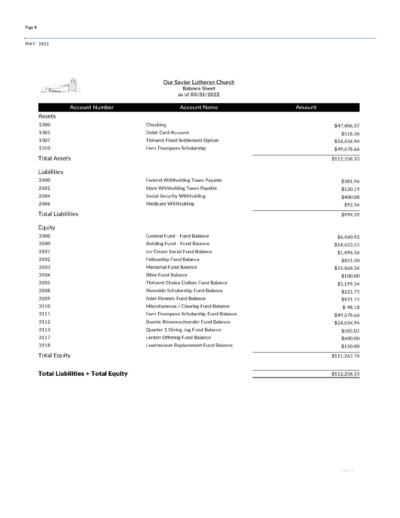

## Our Savior Lutheran Church<br>Balance Sheet as of 03/31/2022

| <b>Account Number</b>    | <b>Account Name</b>                         | Amount       |
|--------------------------|---------------------------------------------|--------------|
| Assets                   |                                             |              |
| 1000                     | Checking                                    | \$47,406.37  |
| 1005                     | <b>Debit Card Account</b>                   | \$518.36     |
| 1007                     | <b>Thrivent Fixed Settlement Option</b>     | \$14,654.94  |
| 1010                     | Fern Thompson Scholarship                   | \$49,678.66  |
| <b>Total Assets</b>      |                                             | \$112,258.33 |
| Liabilities              |                                             |              |
| 2600                     | <b>Federal Withholding Taxes Payable</b>    | \$381.96     |
| 2602                     | <b>State Withholding Taxes Payable</b>      | \$120.19     |
| 2604                     | <b>Social Security Withholding</b>          | \$400.08     |
| 2606                     | <b>Medicare Withholding</b>                 | \$92.36      |
| <b>Total Liabilities</b> |                                             | \$994.59     |
| Equity                   |                                             |              |
| 3000                     | General Fund - Fund Balance                 | \$6,460.92   |
| 3100                     | <b>Building Fund - Fund Balance</b>         | \$14,653.55  |
| 3101                     | Ice Cream Social Fund Balance               | \$1,496.56   |
| 3102                     | <b>Fellowship Fund Balance</b>              | \$851.50     |
| 3103                     | <b>Memorial Fund Balance</b>                | \$15,868.34  |
| 3104                     | <b>Bible Fund Balance</b>                   | \$100.00     |
| 3105                     | <b>Thrivent Choice Dollars Fund Balance</b> | \$5,199.54   |
| 3108                     | Riverside Scholorship Fund Balance          | \$221.75     |
| 3109                     | <b>Alter Flowers Fund Balance</b>           | \$921.15     |
| 3110                     | Miscellaneous / Clearing Fund Balance       | $$-98.18$    |
| 3111                     | Fern Thompson Scholarship Fund Balance      | \$49,678.66  |
| 3112                     | Bonnie Riemenschneider Fund Balance         | \$14,654.94  |
| 3113                     | Quarter 1 Giving Jug Fund Balance           | \$505.01     |
| 3117                     | Lenten Offering Fund Balance                | \$600.00     |
| 3118                     | Lawnmower Replacement Fund Balance          | \$150.00     |
| <b>Total Equity</b>      |                                             | \$111,263.74 |
|                          |                                             |              |

**Total Liabilities + Total Equity** 

\$112,258.33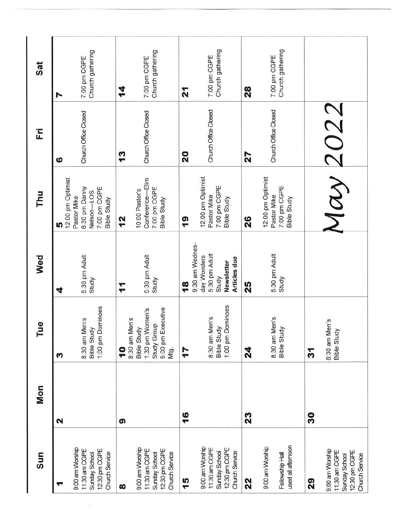| Sat | N                               | Church gathering<br>7:00 pm CGPE                                                     | 14                                        | Church gathering<br>7:00 pm CGPE                                                     | 21                               | Church gathering<br>7:00 pm CGPE                                                     | 28 | Church gathering<br>7:00 pm CGPE                                       |    |                                                                                      |
|-----|---------------------------------|--------------------------------------------------------------------------------------|-------------------------------------------|--------------------------------------------------------------------------------------|----------------------------------|--------------------------------------------------------------------------------------|----|------------------------------------------------------------------------|----|--------------------------------------------------------------------------------------|
| Ë   | ဖ                               | Church Office Closed                                                                 | $\frac{3}{2}$                             | Church Office Closed                                                                 | 20                               | Church Office Closed                                                                 | 27 | Church Office Closed                                                   |    |                                                                                      |
| Thu | 12:00 pm Optimist<br><u>၊</u> ဂ | 6:30 pm Danny<br>7:00 pm CGPE<br>Nelson-LOS<br>Pastor Mike<br><b>Bible Study</b>     | $\frac{2}{3}$                             | Conference-Elim<br>7:00 pm CGPE<br>10:00 Pastor's<br><b>Bible Study</b>              | $\frac{6}{1}$                    | 12:00 pm Optimist<br>7:00 pm CGPE<br>Pastor Mike<br><b>Bible Study</b>               | 26 | 12:00 pm Optimist<br>7:00 pm CGPE<br>Pastor Mike<br><b>Bible Study</b> |    | May 2022                                                                             |
| Wed | 4                               | 5:30 pm Adult<br>Study                                                               | $\mathbf{r}$                              | 5:30 pm Adult<br>Study                                                               | 9:30 am Wednes-<br>$\frac{8}{5}$ | 5:30 pm Adult<br>day Wonders<br>Articles due<br>Newsletter<br>Study                  | 25 | 5:30 pm Adult<br>Study                                                 |    |                                                                                      |
| Tue | S                               | 1:00 pm Dominoes<br>8:30 am Men's<br><b>Bible Study</b>                              | 8:30 am Men's<br>$\overline{\phantom{a}}$ | 5:00 pm Executive<br>1:30 pm Women's<br>Study Group<br><b>Bible Study</b><br>Mtg.    | 17                               | 1:00 pm Dominoes<br>8:30 am Men's<br>Bible Study                                     | 24 | 8:30 am Men's<br>Bible Study                                           | 31 | 8:30 am Men's<br><b>Bible Study</b>                                                  |
| Mon | 2                               |                                                                                      | ၈                                         |                                                                                      | 16                               |                                                                                      | 23 |                                                                        | 30 |                                                                                      |
| Sun |                                 | 9:00 am Worship<br>12:30 pm CGPE<br>11:30 am CGPE<br>Church Service<br>Sunday School | ထ                                         | 9:00 am Worship<br>12:30 pm CGPE<br>11:30 am CGPE<br>Sunday School<br>Church Service | 15                               | 9:00 am Worship<br>12:30 pm CGPE<br>11:30 am CGPE<br>Church Service<br>Sunday School | 22 | used all afternoon<br>9:00 am Worship<br>Fellowship Hall               | 29 | 9:00 am Worship<br>12:30 pm CGPE<br>11:30 am CGPE<br>Church Service<br>Sunday School |